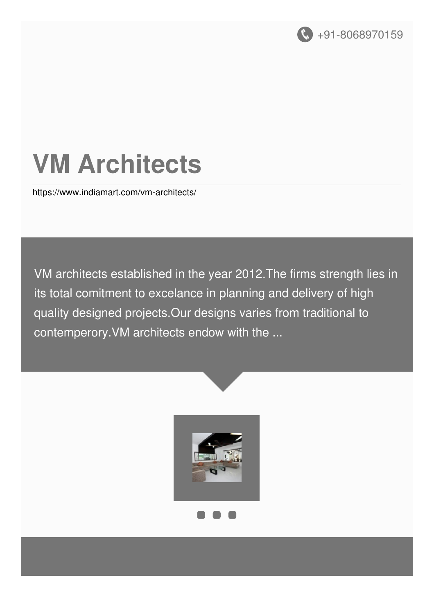

# **VM Architects**

<https://www.indiamart.com/vm-architects/>

VM architects established in the year 2012.The firms strength lies in its total comitment to excelance in planning and delivery of high quality designed projects.Our designs varies from traditional to contemperory.VM architects endow with the ...



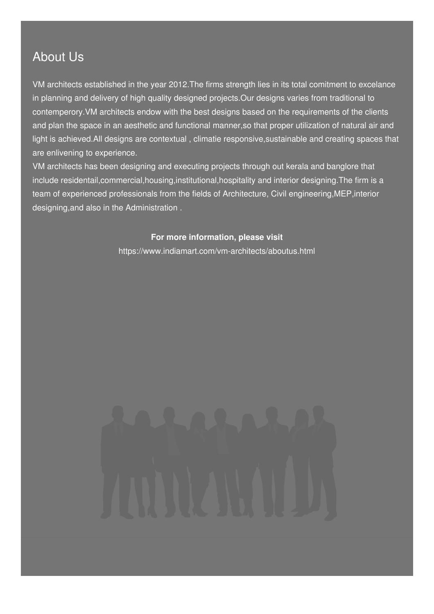### About Us

VM architects established in the year 2012.The firms strength lies in its total comitment to excelance in planning and delivery of high quality designed projects.Our designs varies from traditional to contemperory.VM architects endow with the best designs based on the requirements of the clients and plan the space in an aesthetic and functional manner,so that proper utilization of natural air and light is achieved.All designs are contextual , climatie responsive,sustainable and creating spaces that are enlivening to experience.

VM architects has been designing and executing projects through out kerala and banglore that include residentail,commercial,housing,institutional,hospitality and interior designing.The firm is a team of experienced professionals from the fields of Architecture, Civil engineering,MEP,interior designing,and also in the Administration .

#### **For more information, please visit**

<https://www.indiamart.com/vm-architects/aboutus.html>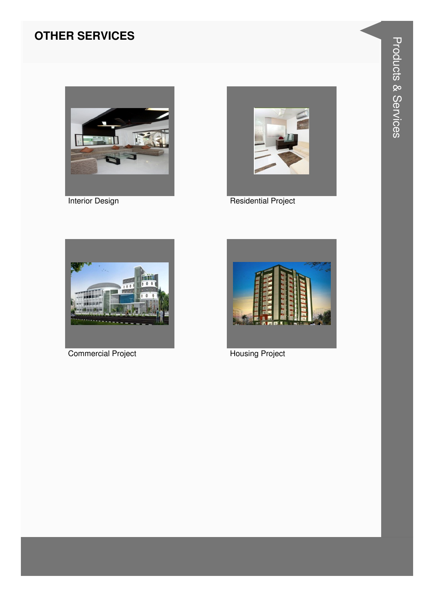#### **OTHER SERVICES**



**Interior Design** 



**Residential Project** 



**Commercial Project** 



**Housing Project**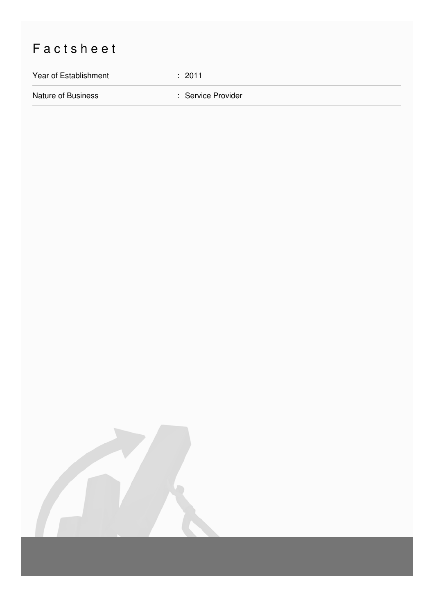## Factsheet

Year of Establishment : 2011

Nature of Business **in American Service Provider** : Service Provider